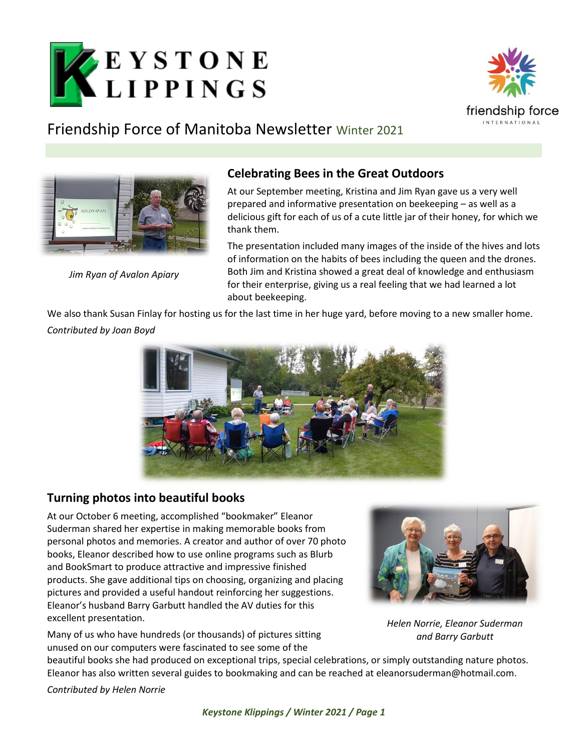



## Friendship Force of Manitoba Newsletter Winter 2021



*Jim Ryan of Avalon Apiary*

#### **Celebrating Bees in the Great Outdoors**

At our September meeting, Kristina and Jim Ryan gave us a very well prepared and informative presentation on beekeeping – as well as a delicious gift for each of us of a cute little jar of their honey, for which we thank them.

The presentation included many images of the inside of the hives and lots of information on the habits of bees including the queen and the drones. Both Jim and Kristina showed a great deal of knowledge and enthusiasm for their enterprise, giving us a real feeling that we had learned a lot about beekeeping.

We also thank Susan Finlay for hosting us for the last time in her huge yard, before moving to a new smaller home. *Contributed by Joan Boyd*



### **Turning photos into beautiful books**

At our October 6 meeting, accomplished "bookmaker" Eleanor Suderman shared her expertise in making memorable books from personal photos and memories. A creator and author of over 70 photo books, Eleanor described how to use online programs such as Blurb and BookSmart to produce attractive and impressive finished products. She gave additional tips on choosing, organizing and placing pictures and provided a useful handout reinforcing her suggestions. Eleanor's husband Barry Garbutt handled the AV duties for this excellent presentation.

Many of us who have hundreds (or thousands) of pictures sitting unused on our computers were fascinated to see some of the



*Helen Norrie, Eleanor Suderman and Barry Garbutt*

beautiful books she had produced on exceptional trips, special celebrations, or simply outstanding nature photos. Eleanor has also written several guides to bookmaking and can be reached at [eleanorsuderman@hotmail.com.](mailto:eleanorsuderman@hotmail.com)

*Contributed by Helen Norrie*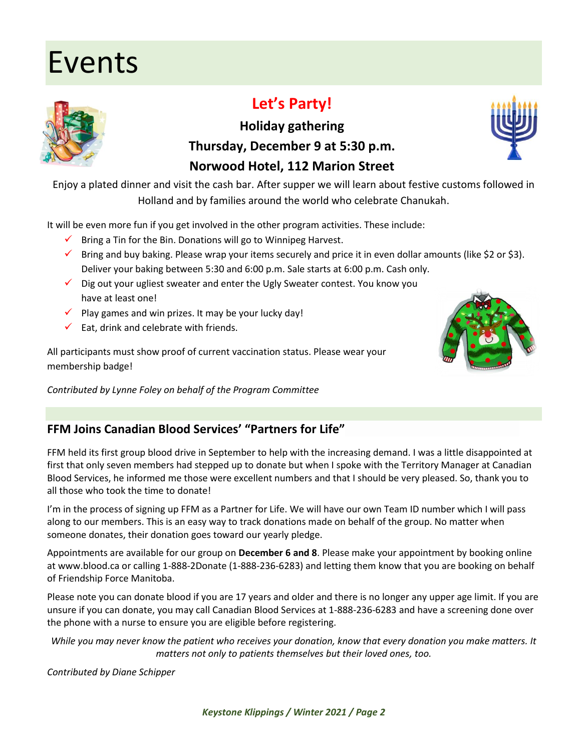# Events

### **Let's Party!**

**Holiday gathering Thursday, December 9 at 5:30 p.m.**

### **Norwood Hotel, 112 Marion Street**

Enjoy a plated dinner and visit the cash bar. After supper we will learn about festive customs followed in Holland and by families around the world who celebrate Chanukah.

It will be even more fun if you get involved in the other program activities. These include:

- $\checkmark$  Bring a Tin for the Bin. Donations will go to Winnipeg Harvest.
- $\checkmark$  Bring and buy baking. Please wrap your items securely and price it in even dollar amounts (like \$2 or \$3). Deliver your baking between 5:30 and 6:00 p.m. Sale starts at 6:00 p.m. Cash only.
- $\checkmark$  Dig out your ugliest sweater and enter the Ugly Sweater contest. You know you have at least one!
- $\checkmark$  Play games and win prizes. It may be your lucky day!
- $\checkmark$  Eat, drink and celebrate with friends.

All participants must show proof of current vaccination status. Please wear your membership badge!

*Contributed by Lynne Foley on behalf of the Program Committee*

### **FFM Joins Canadian Blood Services' "Partners for Life"**

FFM held its first group blood drive in September to help with the increasing demand. I was a little disappointed at first that only seven members had stepped up to donate but when I spoke with the Territory Manager at Canadian Blood Services, he informed me those were excellent numbers and that I should be very pleased. So, thank you to all those who took the time to donate!

I'm in the process of signing up FFM as a Partner for Life. We will have our own Team ID number which I will pass along to our members. This is an easy way to track donations made on behalf of the group. No matter when someone donates, their donation goes toward our yearly pledge.

Appointments are available for our group on **December 6 and 8**. Please make your appointment by booking online at [www.blood.ca](http://www.blood.ca/) or calling 1-888-2Donate (1-888-236-6283) and letting them know that you are booking on behalf of Friendship Force Manitoba.

Please note you can donate blood if you are 17 years and older and there is no longer any upper age limit. If you are unsure if you can donate, you may call Canadian Blood Services at 1-888-236-6283 and have a screening done over the phone with a nurse to ensure you are eligible before registering.

*While you may never know the patient who receives your donation, know that every donation you make matters. It matters not only to patients themselves but their loved ones, too.*

*Contributed by Diane Schipper*





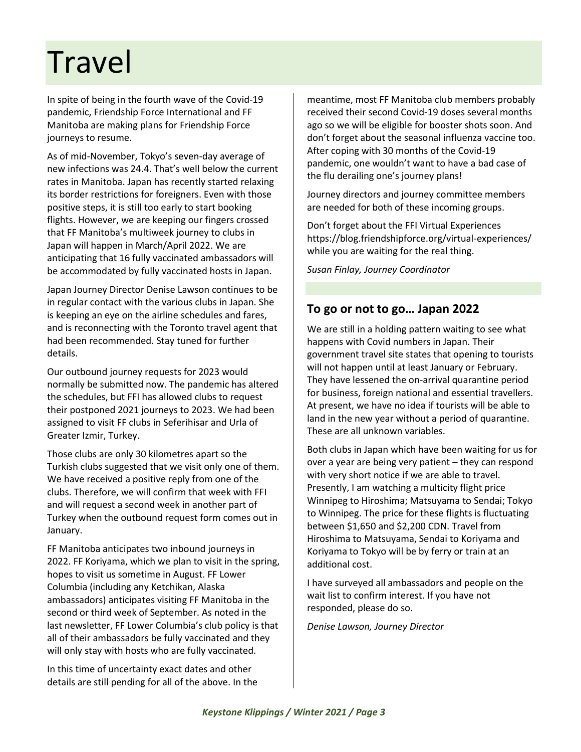# Travel

In spite of being in the fourth wave of the Covid-19 pandemic, Friendship Force International and FF Manitoba are making plans for Friendship Force journeys to resume.

As of mid-November, Tokyo's seven-day average of new infections was 24.4. That's well below the current rates in Manitoba. Japan has recently started relaxing its border restrictions for foreigners. Even with those positive steps, it is still too early to start booking flights. However, we are keeping our fingers crossed that FF Manitoba's multiweek journey to clubs in Japan will happen in March/April 2022. We are anticipating that 16 fully vaccinated ambassadors will be accommodated by fully vaccinated hosts in Japan.

Japan Journey Director Denise Lawson continues to be in regular contact with the various clubs in Japan. She is keeping an eye on the airline schedules and fares, and is reconnecting with the Toronto travel agent that had been recommended. Stay tuned for further details.

Our outbound journey requests for 2023 would normally be submitted now. The pandemic has altered the schedules, but FFI has allowed clubs to request their postponed 2021 journeys to 2023. We had been assigned to visit FF clubs in Seferihisar and Urla of Greater Izmir, Turkey.

Those clubs are only 30 kilometres apart so the Turkish clubs suggested that we visit only one of them. We have received a positive reply from one of the clubs. Therefore, we will confirm that week with FFI and will request a second week in another part of Turkey when the outbound request form comes out in January.

FF Manitoba anticipates two inbound journeys in 2022. FF Koriyama, which we plan to visit in the spring, hopes to visit us sometime in August. FF Lower Columbia (including any Ketchikan, Alaska ambassadors) anticipates visiting FF Manitoba in the second or third week of September. As noted in the last newsletter, FF Lower Columbia's club policy is that all of their ambassadors be fully vaccinated and they will only stay with hosts who are fully vaccinated.

In this time of uncertainty exact dates and other details are still pending for all of the above. In the

meantime, most FF Manitoba club members probably received their second Covid-19 doses several months ago so we will be eligible for booster shots soon. And don't forget about the seasonal influenza vaccine too. After coping with 30 months of the Covid-19 pandemic, one wouldn't want to have a bad case of the flu derailing one's journey plans!

Journey directors and journey committee members are needed for both of these incoming groups.

Don't forget about the FFI Virtual Experiences <https://blog.friendshipforce.org/virtual-experiences/> while you are waiting for the real thing.

*Susan Finlay, Journey Coordinator* 

#### **To go or not to go… Japan 2022**

We are still in a holding pattern waiting to see what happens with Covid numbers in Japan. Their government travel site states that opening to tourists will not happen until at least January or February. They have lessened the on-arrival quarantine period for business, foreign national and essential travellers. At present, we have no idea if tourists will be able to land in the new year without a period of quarantine. These are all unknown variables.

Both clubs in Japan which have been waiting for us for over a year are being very patient – they can respond with very short notice if we are able to travel. Presently, I am watching a multicity flight price Winnipeg to Hiroshima; Matsuyama to Sendai; Tokyo to Winnipeg. The price for these flights is fluctuating between \$1,650 and \$2,200 CDN. Travel from Hiroshima to Matsuyama, Sendai to Koriyama and Koriyama to Tokyo will be by ferry or train at an additional cost.

I have surveyed all ambassadors and people on the wait list to confirm interest. If you have not responded, please do so.

*Denise Lawson, Journey Director*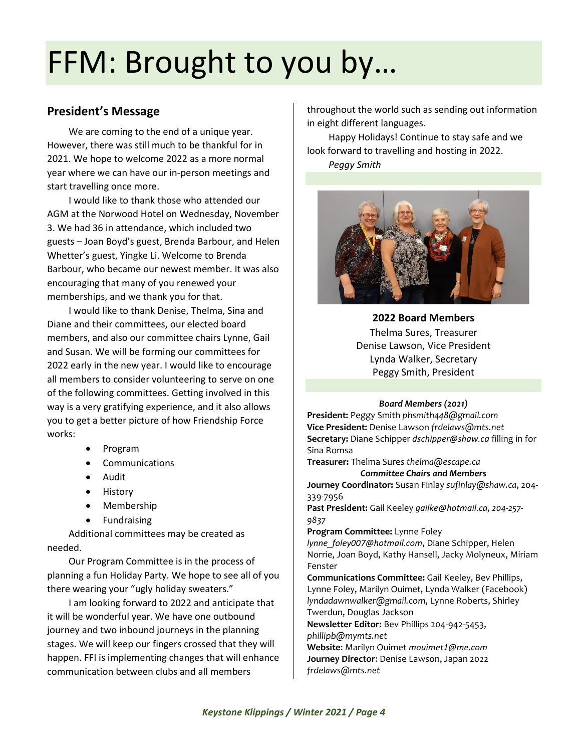# FFM: Brought to you by…

#### **President's Message**

We are coming to the end of a unique year. However, there was still much to be thankful for in 2021. We hope to welcome 2022 as a more normal year where we can have our in-person meetings and start travelling once more.

I would like to thank those who attended our AGM at the Norwood Hotel on Wednesday, November 3. We had 36 in attendance, which included two guests – Joan Boyd's guest, Brenda Barbour, and Helen Whetter's guest, Yingke Li. Welcome to Brenda Barbour, who became our newest member. It was also encouraging that many of you renewed your memberships, and we thank you for that.

I would like to thank Denise, Thelma, Sina and Diane and their committees, our elected board members, and also our committee chairs Lynne, Gail and Susan. We will be forming our committees for 2022 early in the new year. I would like to encourage all members to consider volunteering to serve on one of the following committees. Getting involved in this way is a very gratifying experience, and it also allows you to get a better picture of how Friendship Force works:

- Program
- Communications
- Audit
- History
- Membership
- Fundraising

Additional committees may be created as needed.

Our Program Committee is in the process of planning a fun Holiday Party. We hope to see all of you there wearing your "ugly holiday sweaters."

I am looking forward to 2022 and anticipate that it will be wonderful year. We have one outbound journey and two inbound journeys in the planning stages. We will keep our fingers crossed that they will happen. FFI is implementing changes that will enhance communication between clubs and all members

throughout the world such as sending out information in eight different languages.

Happy Holidays! Continue to stay safe and we look forward to travelling and hosting in 2022.

*Peggy Smith*



**2022 Board Members** Thelma Sures, Treasurer Denise Lawson, Vice President Lynda Walker, Secretary Peggy Smith, President

#### *Board Members (2021)*

**President:** Peggy Smith *phsmith448@gmail.com* **Vice President:** Denise Lawson *frdelaws@mts.net* **Secretary:** Diane Schipper *[dschipper@shaw.ca](mailto:dschipper@shaw.ca)* filling in for Sina Romsa

**Treasurer:** Thelma Sures *thelma@escape.ca Committee Chairs and Members*

**Journey Coordinator:** Susan Finlay *sufinlay@shaw.ca*, 204- 339-7956

**Past President:** Gail Keeley *[gailke@hotmail.ca](mailto:gailke@hotmail.ca), 204-257- 9837*

**Program Committee:** Lynne Foley

*[lynne\\_foley007@hotmail.com](mailto:lynne_foley007@hotmail.com)*, Diane Schipper, Helen Norrie, Joan Boyd, Kathy Hansell, Jacky Molyneux, Miriam Fenster

**Communications Committee:** Gail Keeley, Bev Phillips, Lynne Foley, Marilyn Ouimet, Lynda Walker (Facebook) *[lyndadawnwalker@gmail.com](mailto:lyndadawnwalker@gmail.com)*, Lynne Roberts, Shirley Twerdun, Douglas Jackson

**Newsletter Editor:** Bev Phillips 204-942-5453, *phillipb@mymts.net*

**Website**: Marilyn Ouimet *[mouimet1@me.com](mailto:mouimet1@me.com)* **Journey Director**: Denise Lawson, Japan 2022 *frdelaws@mts.net*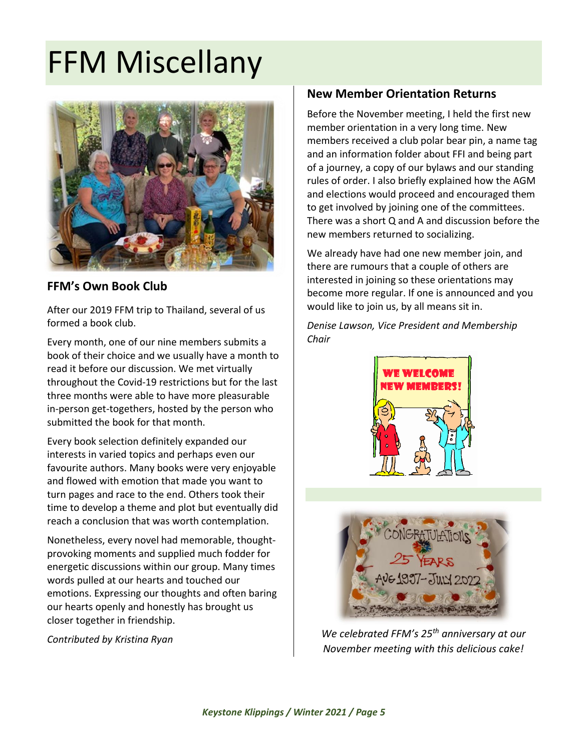# FFM Miscellany



### **FFM's Own Book Club**

After our 2019 FFM trip to Thailand, several of us formed a book club.

Every month, one of our nine members submits a book of their choice and we usually have a month to read it before our discussion. We met virtually throughout the Covid-19 restrictions but for the last three months were able to have more pleasurable in-person get-togethers, hosted by the person who submitted the book for that month.

Every book selection definitely expanded our interests in varied topics and perhaps even our favourite authors. Many books were very enjoyable and flowed with emotion that made you want to turn pages and race to the end. Others took their time to develop a theme and plot but eventually did reach a conclusion that was worth contemplation.

Nonetheless, every novel had memorable, thoughtprovoking moments and supplied much fodder for energetic discussions within our group. Many times words pulled at our hearts and touched our emotions. Expressing our thoughts and often baring our hearts openly and honestly has brought us closer together in friendship.

*Contributed by Kristina Ryan*

#### **New Member Orientation Returns**

Before the November meeting, I held the first new member orientation in a very long time. New members received a club polar bear pin, a name tag and an information folder about FFI and being part of a journey, a copy of our bylaws and our standing rules of order. I also briefly explained how the AGM and elections would proceed and encouraged them to get involved by joining one of the committees. There was a short Q and A and discussion before the new members returned to socializing.

We already have had one new member join, and there are rumours that a couple of others are interested in joining so these orientations may become more regular. If one is announced and you would like to join us, by all means sit in.

*Denise Lawson, Vice President and Membership Chair*





*We celebrated FFM's 25th anniversary at our November meeting with this delicious cake!*